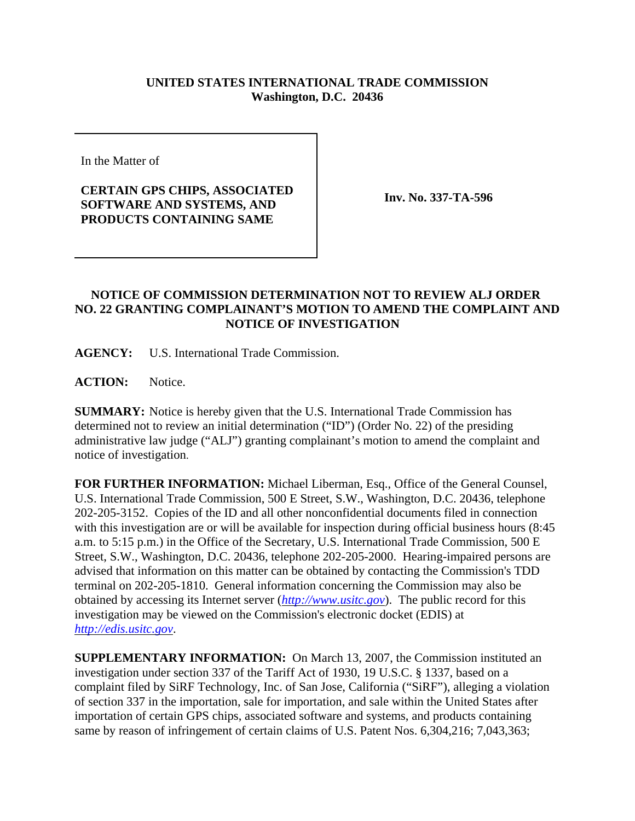## **UNITED STATES INTERNATIONAL TRADE COMMISSION Washington, D.C. 20436**

In the Matter of

## **CERTAIN GPS CHIPS, ASSOCIATED SOFTWARE AND SYSTEMS, AND PRODUCTS CONTAINING SAME**

**Inv. No. 337-TA-596**

## **NOTICE OF COMMISSION DETERMINATION NOT TO REVIEW ALJ ORDER NO. 22 GRANTING COMPLAINANT'S MOTION TO AMEND THE COMPLAINT AND NOTICE OF INVESTIGATION**

**AGENCY:** U.S. International Trade Commission.

**ACTION:** Notice.

**SUMMARY:** Notice is hereby given that the U.S. International Trade Commission has determined not to review an initial determination ("ID") (Order No. 22) of the presiding administrative law judge ("ALJ") granting complainant's motion to amend the complaint and notice of investigation.

**FOR FURTHER INFORMATION:** Michael Liberman, Esq., Office of the General Counsel, U.S. International Trade Commission, 500 E Street, S.W., Washington, D.C. 20436, telephone 202-205-3152. Copies of the ID and all other nonconfidential documents filed in connection with this investigation are or will be available for inspection during official business hours (8:45) a.m. to 5:15 p.m.) in the Office of the Secretary, U.S. International Trade Commission, 500 E Street, S.W., Washington, D.C. 20436, telephone 202-205-2000. Hearing-impaired persons are advised that information on this matter can be obtained by contacting the Commission's TDD terminal on 202-205-1810. General information concerning the Commission may also be obtained by accessing its Internet server (*http://www.usitc.gov*). The public record for this investigation may be viewed on the Commission's electronic docket (EDIS) at *http://edis.usitc.gov*.

**SUPPLEMENTARY INFORMATION:** On March 13, 2007, the Commission instituted an investigation under section 337 of the Tariff Act of 1930, 19 U.S.C. § 1337, based on a complaint filed by SiRF Technology, Inc. of San Jose, California ("SiRF"), alleging a violation of section 337 in the importation, sale for importation, and sale within the United States after importation of certain GPS chips, associated software and systems, and products containing same by reason of infringement of certain claims of U.S. Patent Nos. 6,304,216; 7,043,363;